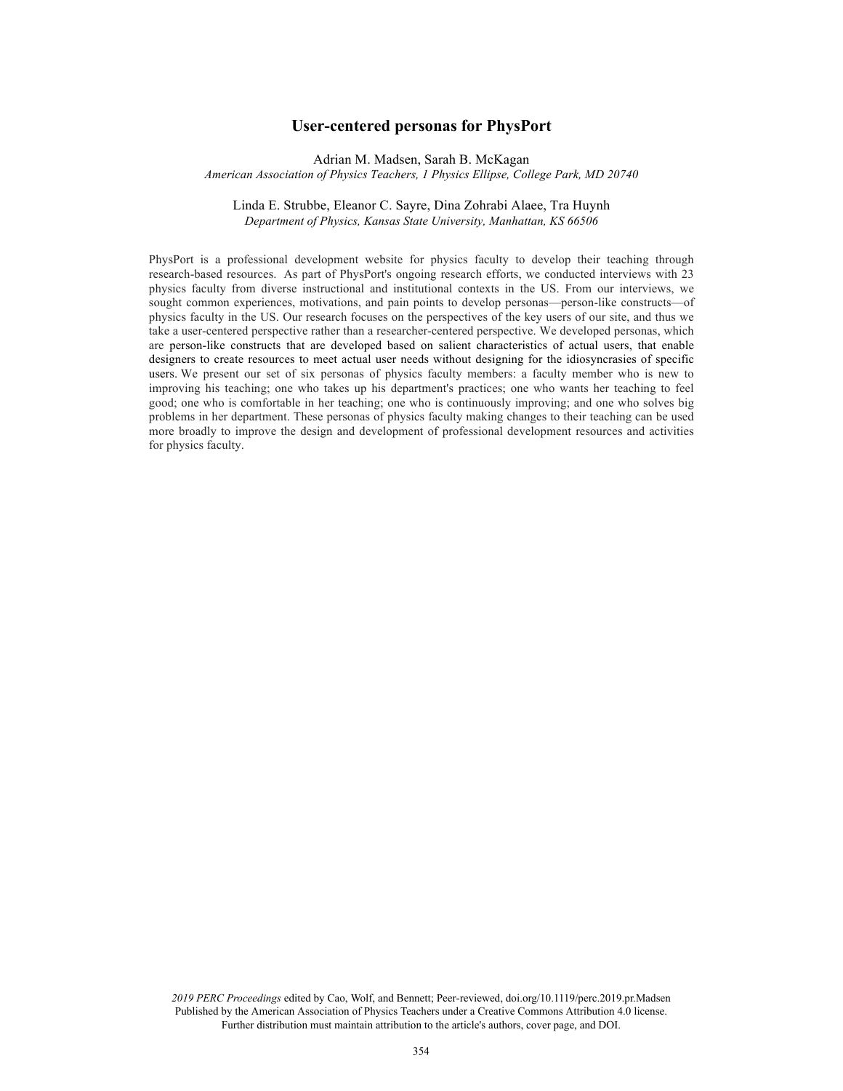# **User-centered personas for PhysPort**

Adrian M. Madsen, Sarah B. McKagan

*American Association of Physics Teachers, 1 Physics Ellipse, College Park, MD 20740*

# Linda E. Strubbe, Eleanor C. Sayre, Dina Zohrabi Alaee, Tra Huynh *Department of Physics, Kansas State University, Manhattan, KS 66506*

PhysPort is a professional development website for physics faculty to develop their teaching through research-based resources. As part of PhysPort's ongoing research efforts, we conducted interviews with 23 physics faculty from diverse instructional and institutional contexts in the US. From our interviews, we sought common experiences, motivations, and pain points to develop personas—person-like constructs—of physics faculty in the US. Our research focuses on the perspectives of the key users of our site, and thus we take a user-centered perspective rather than a researcher-centered perspective. We developed personas, which are person-like constructs that are developed based on salient characteristics of actual users, that enable designers to create resources to meet actual user needs without designing for the idiosyncrasies of specific users. We present our set of six personas of physics faculty members: a faculty member who is new to improving his teaching; one who takes up his department's practices; one who wants her teaching to feel good; one who is comfortable in her teaching; one who is continuously improving; and one who solves big problems in her department. These personas of physics faculty making changes to their teaching can be used more broadly to improve the design and development of professional development resources and activities for physics faculty.

*2019 PERC Proceedings* edited by Cao, Wolf, and Bennett; Peer-reviewed, doi.org/10.1119/perc.2019.pr.Madsen Published by the American Association of Physics Teachers under a Creative Commons Attribution 4.0 license. Further distribution must maintain attribution to the article's authors, cover page, and DOI.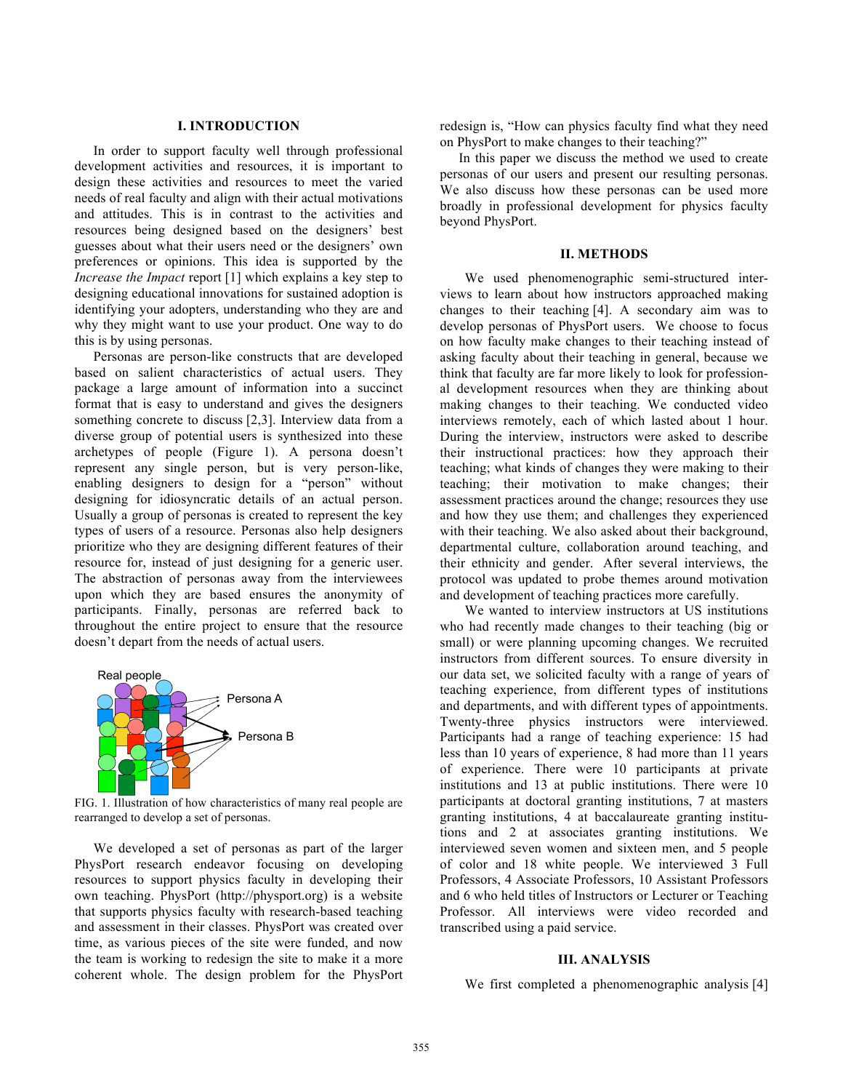### **I. INTRODUCTION**

In order to support faculty well through professional development activities and resources, it is important to design these activities and resources to meet the varied needs of real faculty and align with their actual motivations and attitudes. This is in contrast to the activities and resources being designed based on the designers' best guesses about what their users need or the designers' own preferences or opinions. This idea is supported by the *Increase the Impact* report [1] which explains a key step to designing educational innovations for sustained adoption is identifying your adopters, understanding who they are and why they might want to use your product. One way to do this is by using personas.

Personas are person-like constructs that are developed based on salient characteristics of actual users. They package a large amount of information into a succinct format that is easy to understand and gives the designers something concrete to discuss [2,3]. Interview data from a diverse group of potential users is synthesized into these archetypes of people (Figure 1). A persona doesn't represent any single person, but is very person-like, enabling designers to design for a "person" without designing for idiosyncratic details of an actual person. Usually a group of personas is created to represent the key types of users of a resource. Personas also help designers prioritize who they are designing different features of their resource for, instead of just designing for a generic user. The abstraction of personas away from the interviewees upon which they are based ensures the anonymity of participants. Finally, personas are referred back to throughout the entire project to ensure that the resource doesn't depart from the needs of actual users.



FIG. 1. Illustration of how characteristics of many real people are rearranged to develop a set of personas.

We developed a set of personas as part of the larger PhysPort research endeavor focusing on developing resources to support physics faculty in developing their own teaching. PhysPort (http://physport.org) is a website that supports physics faculty with research-based teaching and assessment in their classes. PhysPort was created over time, as various pieces of the site were funded, and now the team is working to redesign the site to make it a more coherent whole. The design problem for the PhysPort redesign is, "How can physics faculty find what they need on PhysPort to make changes to their teaching?"

In this paper we discuss the method we used to create personas of our users and present our resulting personas. We also discuss how these personas can be used more broadly in professional development for physics faculty beyond PhysPort.

#### **II. METHODS**

We used phenomenographic semi-structured interviews to learn about how instructors approached making changes to their teaching [4]. A secondary aim was to develop personas of PhysPort users. We choose to focus on how faculty make changes to their teaching instead of asking faculty about their teaching in general, because we think that faculty are far more likely to look for professional development resources when they are thinking about making changes to their teaching. We conducted video interviews remotely, each of which lasted about 1 hour. During the interview, instructors were asked to describe their instructional practices: how they approach their teaching; what kinds of changes they were making to their teaching; their motivation to make changes; their assessment practices around the change; resources they use and how they use them; and challenges they experienced with their teaching. We also asked about their background, departmental culture, collaboration around teaching, and their ethnicity and gender. After several interviews, the protocol was updated to probe themes around motivation and development of teaching practices more carefully.

We wanted to interview instructors at US institutions who had recently made changes to their teaching (big or small) or were planning upcoming changes. We recruited instructors from different sources. To ensure diversity in our data set, we solicited faculty with a range of years of teaching experience, from different types of institutions and departments, and with different types of appointments. Twenty-three physics instructors were interviewed. Participants had a range of teaching experience: 15 had less than 10 years of experience, 8 had more than 11 years of experience. There were 10 participants at private institutions and 13 at public institutions. There were 10 participants at doctoral granting institutions, 7 at masters granting institutions, 4 at baccalaureate granting institutions and 2 at associates granting institutions. We interviewed seven women and sixteen men, and 5 people of color and 18 white people. We interviewed 3 Full Professors, 4 Associate Professors, 10 Assistant Professors and 6 who held titles of Instructors or Lecturer or Teaching Professor. All interviews were video recorded and transcribed using a paid service.

#### **III. ANALYSIS**

We first completed a phenomenographic analysis [4]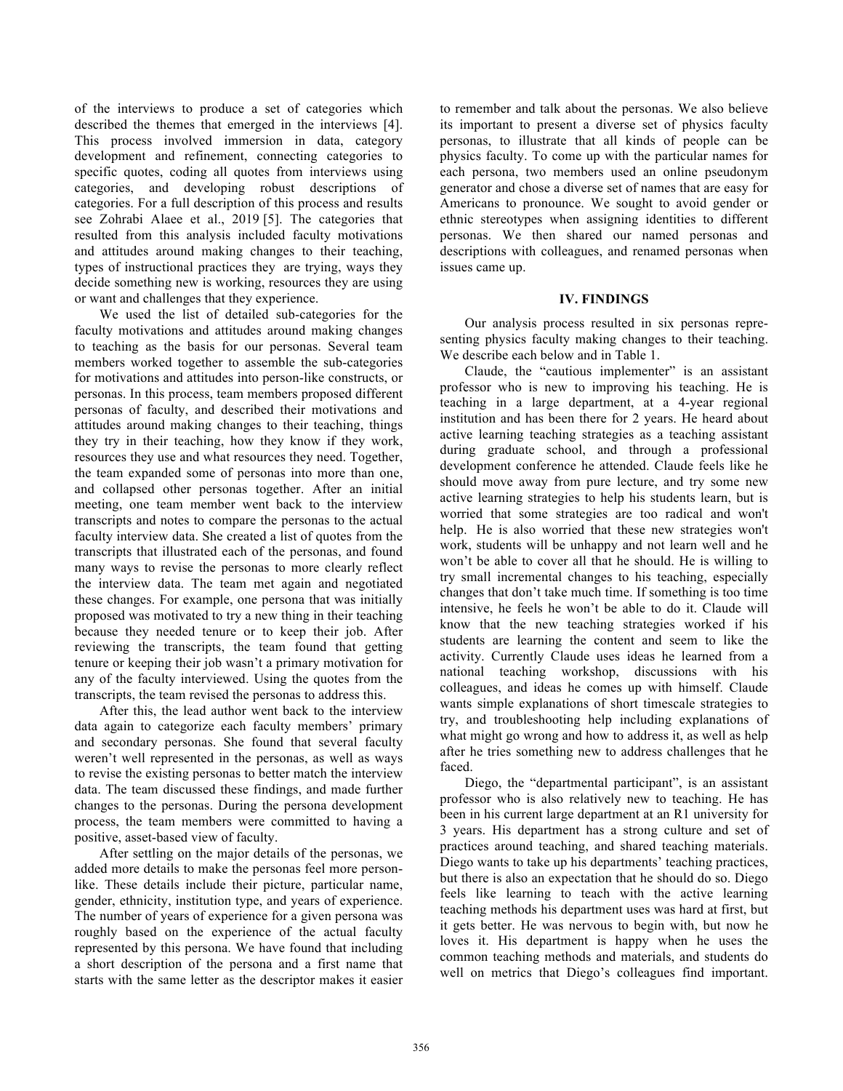of the interviews to produce a set of categories which described the themes that emerged in the interviews [4]. This process involved immersion in data, category development and refinement, connecting categories to specific quotes, coding all quotes from interviews using categories, and developing robust descriptions of categories. For a full description of this process and results see Zohrabi Alaee et al., 2019 [5]. The categories that resulted from this analysis included faculty motivations and attitudes around making changes to their teaching, types of instructional practices they are trying, ways they decide something new is working, resources they are using or want and challenges that they experience.

We used the list of detailed sub-categories for the faculty motivations and attitudes around making changes to teaching as the basis for our personas. Several team members worked together to assemble the sub-categories for motivations and attitudes into person-like constructs, or personas. In this process, team members proposed different personas of faculty, and described their motivations and attitudes around making changes to their teaching, things they try in their teaching, how they know if they work, resources they use and what resources they need. Together, the team expanded some of personas into more than one, and collapsed other personas together. After an initial meeting, one team member went back to the interview transcripts and notes to compare the personas to the actual faculty interview data. She created a list of quotes from the transcripts that illustrated each of the personas, and found many ways to revise the personas to more clearly reflect the interview data. The team met again and negotiated these changes. For example, one persona that was initially proposed was motivated to try a new thing in their teaching because they needed tenure or to keep their job. After reviewing the transcripts, the team found that getting tenure or keeping their job wasn't a primary motivation for any of the faculty interviewed. Using the quotes from the transcripts, the team revised the personas to address this.

After this, the lead author went back to the interview data again to categorize each faculty members' primary and secondary personas. She found that several faculty weren't well represented in the personas, as well as ways to revise the existing personas to better match the interview data. The team discussed these findings, and made further changes to the personas. During the persona development process, the team members were committed to having a positive, asset-based view of faculty.

After settling on the major details of the personas, we added more details to make the personas feel more personlike. These details include their picture, particular name, gender, ethnicity, institution type, and years of experience. The number of years of experience for a given persona was roughly based on the experience of the actual faculty represented by this persona. We have found that including a short description of the persona and a first name that starts with the same letter as the descriptor makes it easier

to remember and talk about the personas. We also believe its important to present a diverse set of physics faculty personas, to illustrate that all kinds of people can be physics faculty. To come up with the particular names for each persona, two members used an online pseudonym generator and chose a diverse set of names that are easy for Americans to pronounce. We sought to avoid gender or ethnic stereotypes when assigning identities to different personas. We then shared our named personas and descriptions with colleagues, and renamed personas when issues came up.

## **IV. FINDINGS**

Our analysis process resulted in six personas representing physics faculty making changes to their teaching. We describe each below and in Table 1.

Claude, the "cautious implementer" is an assistant professor who is new to improving his teaching. He is teaching in a large department, at a 4-year regional institution and has been there for 2 years. He heard about active learning teaching strategies as a teaching assistant during graduate school, and through a professional development conference he attended. Claude feels like he should move away from pure lecture, and try some new active learning strategies to help his students learn, but is worried that some strategies are too radical and won't help. He is also worried that these new strategies won't work, students will be unhappy and not learn well and he won't be able to cover all that he should. He is willing to try small incremental changes to his teaching, especially changes that don't take much time. If something is too time intensive, he feels he won't be able to do it. Claude will know that the new teaching strategies worked if his students are learning the content and seem to like the activity. Currently Claude uses ideas he learned from a national teaching workshop, discussions with his colleagues, and ideas he comes up with himself. Claude wants simple explanations of short timescale strategies to try, and troubleshooting help including explanations of what might go wrong and how to address it, as well as help after he tries something new to address challenges that he faced.

Diego, the "departmental participant", is an assistant professor who is also relatively new to teaching. He has been in his current large department at an R1 university for 3 years. His department has a strong culture and set of practices around teaching, and shared teaching materials. Diego wants to take up his departments' teaching practices, but there is also an expectation that he should do so. Diego feels like learning to teach with the active learning teaching methods his department uses was hard at first, but it gets better. He was nervous to begin with, but now he loves it. His department is happy when he uses the common teaching methods and materials, and students do well on metrics that Diego's colleagues find important.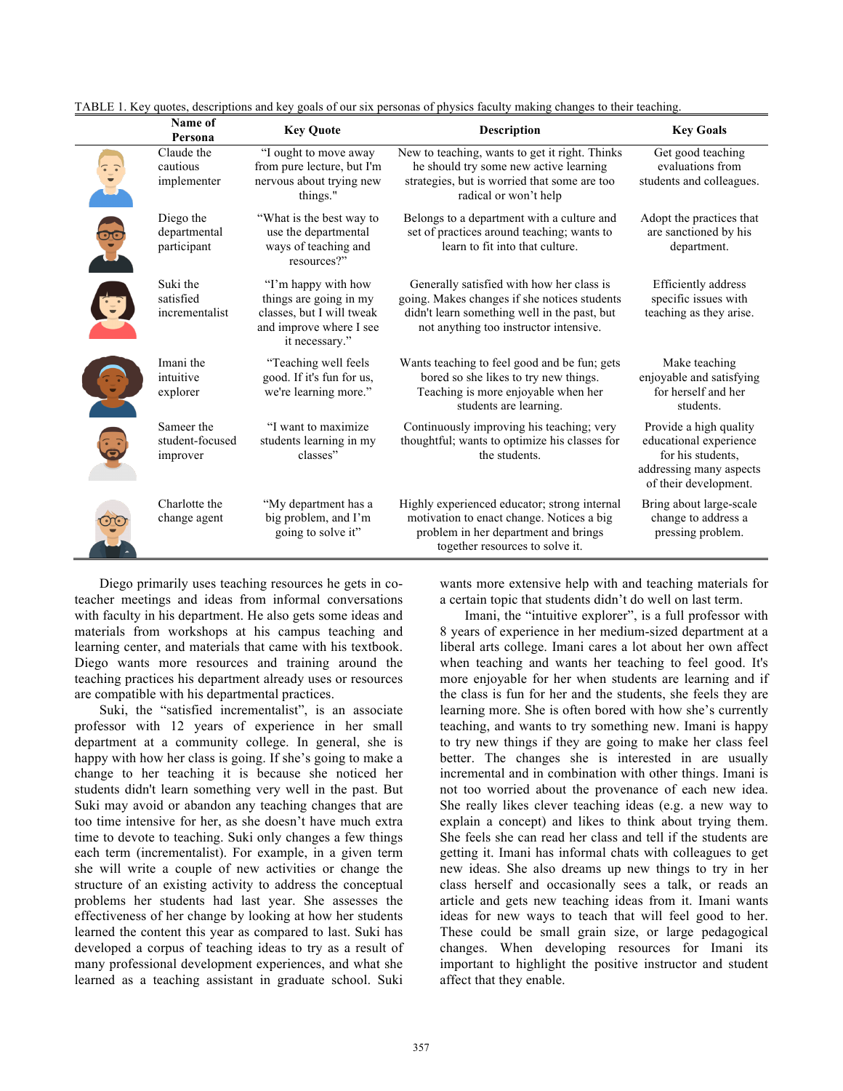| Name of<br>Persona                        | <b>Key Quote</b>                                                                                                        | <b>Description</b>                                                                                                                                                                  | <b>Key Goals</b>                                                                                                          |
|-------------------------------------------|-------------------------------------------------------------------------------------------------------------------------|-------------------------------------------------------------------------------------------------------------------------------------------------------------------------------------|---------------------------------------------------------------------------------------------------------------------------|
| Claude the<br>cautious<br>implementer     | "I ought to move away<br>from pure lecture, but I'm<br>nervous about trying new<br>things."                             | New to teaching, wants to get it right. Thinks<br>he should try some new active learning<br>strategies, but is worried that some are too<br>radical or won't help                   | Get good teaching<br>evaluations from<br>students and colleagues.                                                         |
| Diego the<br>departmental<br>participant  | "What is the best way to<br>use the departmental<br>ways of teaching and<br>resources?"                                 | Belongs to a department with a culture and<br>set of practices around teaching; wants to<br>learn to fit into that culture.                                                         | Adopt the practices that<br>are sanctioned by his<br>department.                                                          |
| Suki the<br>satisfied<br>incrementalist   | "I'm happy with how<br>things are going in my<br>classes, but I will tweak<br>and improve where I see<br>it necessary." | Generally satisfied with how her class is<br>going. Makes changes if she notices students<br>didn't learn something well in the past, but<br>not anything too instructor intensive. | Efficiently address<br>specific issues with<br>teaching as they arise.                                                    |
| Imani the<br>intuitive<br>explorer        | "Teaching well feels<br>good. If it's fun for us,<br>we're learning more."                                              | Wants teaching to feel good and be fun; gets<br>bored so she likes to try new things.<br>Teaching is more enjoyable when her<br>students are learning.                              | Make teaching<br>enjoyable and satisfying<br>for herself and her<br>students.                                             |
| Sameer the<br>student-focused<br>improver | "I want to maximize"<br>students learning in my<br>classes"                                                             | Continuously improving his teaching; very<br>thoughtful; wants to optimize his classes for<br>the students.                                                                         | Provide a high quality<br>educational experience<br>for his students.<br>addressing many aspects<br>of their development. |
| Charlotte the<br>change agent             | "My department has a<br>big problem, and I'm<br>going to solve it"                                                      | Highly experienced educator; strong internal<br>motivation to enact change. Notices a big<br>problem in her department and brings<br>together resources to solve it.                | Bring about large-scale<br>change to address a<br>pressing problem.                                                       |

TABLE 1. Key quotes, descriptions and key goals of our six personas of physics faculty making changes to their teaching.

Diego primarily uses teaching resources he gets in coteacher meetings and ideas from informal conversations with faculty in his department. He also gets some ideas and materials from workshops at his campus teaching and learning center, and materials that came with his textbook. Diego wants more resources and training around the teaching practices his department already uses or resources are compatible with his departmental practices.

Suki, the "satisfied incrementalist", is an associate professor with 12 years of experience in her small department at a community college. In general, she is happy with how her class is going. If she's going to make a change to her teaching it is because she noticed her students didn't learn something very well in the past. But Suki may avoid or abandon any teaching changes that are too time intensive for her, as she doesn't have much extra time to devote to teaching. Suki only changes a few things each term (incrementalist). For example, in a given term she will write a couple of new activities or change the structure of an existing activity to address the conceptual problems her students had last year. She assesses the effectiveness of her change by looking at how her students learned the content this year as compared to last. Suki has developed a corpus of teaching ideas to try as a result of many professional development experiences, and what she learned as a teaching assistant in graduate school. Suki

wants more extensive help with and teaching materials for a certain topic that students didn't do well on last term.

Imani, the "intuitive explorer", is a full professor with 8 years of experience in her medium-sized department at a liberal arts college. Imani cares a lot about her own affect when teaching and wants her teaching to feel good. It's more enjoyable for her when students are learning and if the class is fun for her and the students, she feels they are learning more. She is often bored with how she's currently teaching, and wants to try something new. Imani is happy to try new things if they are going to make her class feel better. The changes she is interested in are usually incremental and in combination with other things. Imani is not too worried about the provenance of each new idea. She really likes clever teaching ideas (e.g. a new way to explain a concept) and likes to think about trying them. She feels she can read her class and tell if the students are getting it. Imani has informal chats with colleagues to get new ideas. She also dreams up new things to try in her class herself and occasionally sees a talk, or reads an article and gets new teaching ideas from it. Imani wants ideas for new ways to teach that will feel good to her. These could be small grain size, or large pedagogical changes. When developing resources for Imani its important to highlight the positive instructor and student affect that they enable.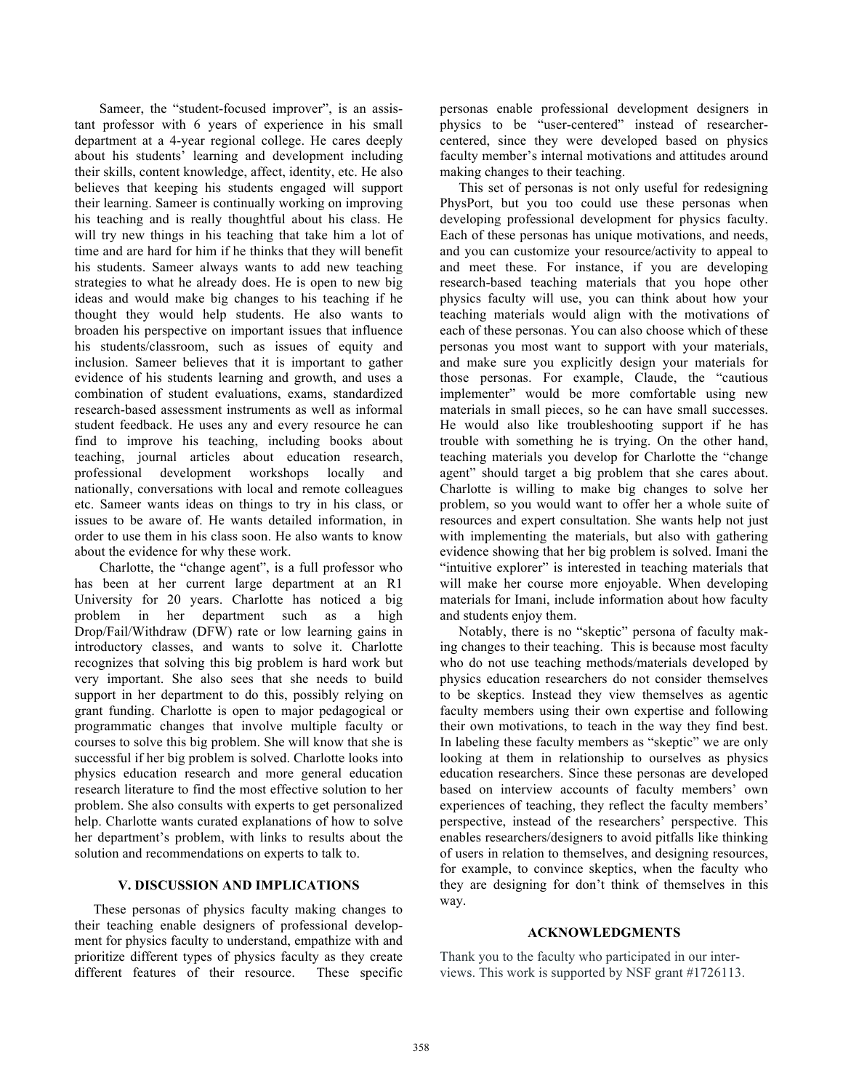Sameer, the "student-focused improver", is an assistant professor with 6 years of experience in his small department at a 4-year regional college. He cares deeply about his students' learning and development including their skills, content knowledge, affect, identity, etc. He also believes that keeping his students engaged will support their learning. Sameer is continually working on improving his teaching and is really thoughtful about his class. He will try new things in his teaching that take him a lot of time and are hard for him if he thinks that they will benefit his students. Sameer always wants to add new teaching strategies to what he already does. He is open to new big ideas and would make big changes to his teaching if he thought they would help students. He also wants to broaden his perspective on important issues that influence his students/classroom, such as issues of equity and inclusion. Sameer believes that it is important to gather evidence of his students learning and growth, and uses a combination of student evaluations, exams, standardized research-based assessment instruments as well as informal student feedback. He uses any and every resource he can find to improve his teaching, including books about teaching, journal articles about education research, professional development workshops locally and nationally, conversations with local and remote colleagues etc. Sameer wants ideas on things to try in his class, or issues to be aware of. He wants detailed information, in order to use them in his class soon. He also wants to know about the evidence for why these work.

Charlotte, the "change agent", is a full professor who has been at her current large department at an R1 University for 20 years. Charlotte has noticed a big problem in her department such as a high Drop/Fail/Withdraw (DFW) rate or low learning gains in introductory classes, and wants to solve it. Charlotte recognizes that solving this big problem is hard work but very important. She also sees that she needs to build support in her department to do this, possibly relying on grant funding. Charlotte is open to major pedagogical or programmatic changes that involve multiple faculty or courses to solve this big problem. She will know that she is successful if her big problem is solved. Charlotte looks into physics education research and more general education research literature to find the most effective solution to her problem. She also consults with experts to get personalized help. Charlotte wants curated explanations of how to solve her department's problem, with links to results about the solution and recommendations on experts to talk to.

## **V. DISCUSSION AND IMPLICATIONS**

These personas of physics faculty making changes to their teaching enable designers of professional development for physics faculty to understand, empathize with and prioritize different types of physics faculty as they create different features of their resource. These specific personas enable professional development designers in physics to be "user-centered" instead of researchercentered, since they were developed based on physics faculty member's internal motivations and attitudes around making changes to their teaching.

This set of personas is not only useful for redesigning PhysPort, but you too could use these personas when developing professional development for physics faculty. Each of these personas has unique motivations, and needs, and you can customize your resource/activity to appeal to and meet these. For instance, if you are developing research-based teaching materials that you hope other physics faculty will use, you can think about how your teaching materials would align with the motivations of each of these personas. You can also choose which of these personas you most want to support with your materials, and make sure you explicitly design your materials for those personas. For example, Claude, the "cautious implementer" would be more comfortable using new materials in small pieces, so he can have small successes. He would also like troubleshooting support if he has trouble with something he is trying. On the other hand, teaching materials you develop for Charlotte the "change agent" should target a big problem that she cares about. Charlotte is willing to make big changes to solve her problem, so you would want to offer her a whole suite of resources and expert consultation. She wants help not just with implementing the materials, but also with gathering evidence showing that her big problem is solved. Imani the "intuitive explorer" is interested in teaching materials that will make her course more enjoyable. When developing materials for Imani, include information about how faculty and students enjoy them.

Notably, there is no "skeptic" persona of faculty making changes to their teaching. This is because most faculty who do not use teaching methods/materials developed by physics education researchers do not consider themselves to be skeptics. Instead they view themselves as agentic faculty members using their own expertise and following their own motivations, to teach in the way they find best. In labeling these faculty members as "skeptic" we are only looking at them in relationship to ourselves as physics education researchers. Since these personas are developed based on interview accounts of faculty members' own experiences of teaching, they reflect the faculty members' perspective, instead of the researchers' perspective. This enables researchers/designers to avoid pitfalls like thinking of users in relation to themselves, and designing resources, for example, to convince skeptics, when the faculty who they are designing for don't think of themselves in this way.

### **ACKNOWLEDGMENTS**

Thank you to the faculty who participated in our interviews. This work is supported by NSF grant #1726113.